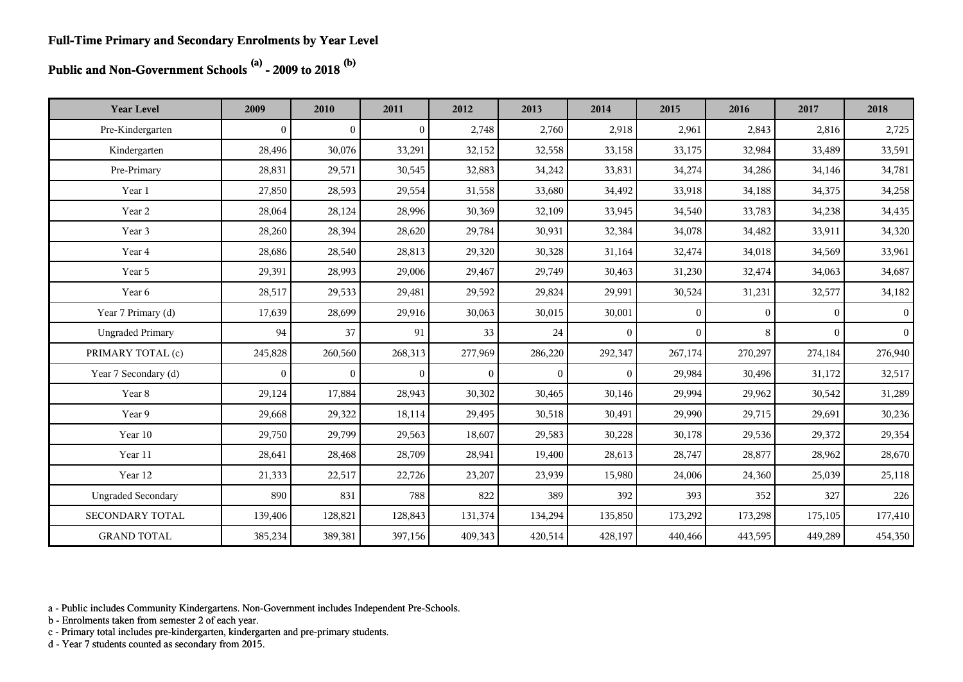**Public and Non-Government Schools (a) - 2009 to 2018 (b)**

| <b>Year Level</b>         | 2009           | 2010           | 2011           | 2012         | 2013           | 2014           | 2015     | 2016         | 2017         | 2018           |
|---------------------------|----------------|----------------|----------------|--------------|----------------|----------------|----------|--------------|--------------|----------------|
| Pre-Kindergarten          | $\overline{0}$ | $\overline{0}$ | $\overline{0}$ | 2,748        | 2,760          | 2,918          | 2,961    | 2,843        | 2,816        | 2,725          |
| Kindergarten              | 28,496         | 30,076         | 33,291         | 32,152       | 32,558         | 33,158         | 33,175   | 32,984       | 33,489       | 33,591         |
| Pre-Primary               | 28,831         | 29,571         | 30,545         | 32,883       | 34,242         | 33,831         | 34,274   | 34,286       | 34,146       | 34,781         |
| Year 1                    | 27,850         | 28,593         | 29,554         | 31,558       | 33,680         | 34,492         | 33,918   | 34,188       | 34,375       | 34,258         |
| Year 2                    | 28,064         | 28,124         | 28,996         | 30,369       | 32,109         | 33,945         | 34,540   | 33,783       | 34,238       | 34,435         |
| Year 3                    | 28,260         | 28,394         | 28,620         | 29,784       | 30,931         | 32,384         | 34,078   | 34,482       | 33,911       | 34,320         |
| Year 4                    | 28,686         | 28,540         | 28,813         | 29,320       | 30,328         | 31,164         | 32,474   | 34,018       | 34,569       | 33,961         |
| Year 5                    | 29,391         | 28,993         | 29,006         | 29,467       | 29,749         | 30,463         | 31,230   | 32,474       | 34,063       | 34,687         |
| Year 6                    | 28,517         | 29,533         | 29,481         | 29,592       | 29,824         | 29,991         | 30,524   | 31,231       | 32,577       | 34,182         |
| Year 7 Primary (d)        | 17,639         | 28,699         | 29,916         | 30,063       | 30,015         | 30,001         | $\theta$ | $\mathbf{0}$ | $\mathbf{0}$ | 0 <sup>1</sup> |
| <b>Ungraded Primary</b>   | 94             | 37             | 91             | 33           | 24             | $\overline{0}$ | $\theta$ | 8            | $\theta$     | $\overline{0}$ |
| PRIMARY TOTAL (c)         | 245,828        | 260,560        | 268,313        | 277,969      | 286,220        | 292,347        | 267,174  | 270,297      | 274,184      | 276,940        |
| Year 7 Secondary (d)      | $\mathbf{0}$   | $\overline{0}$ | $\overline{0}$ | $\mathbf{0}$ | $\overline{0}$ | $\overline{0}$ | 29,984   | 30,496       | 31,172       | 32,517         |
| Year 8                    | 29,124         | 17,884         | 28,943         | 30,302       | 30,465         | 30,146         | 29,994   | 29,962       | 30,542       | 31,289         |
| Year 9                    | 29,668         | 29,322         | 18,114         | 29,495       | 30,518         | 30,491         | 29,990   | 29,715       | 29,691       | 30,236         |
| Year 10                   | 29,750         | 29,799         | 29,563         | 18,607       | 29,583         | 30,228         | 30,178   | 29,536       | 29,372       | 29,354         |
| Year 11                   | 28,641         | 28,468         | 28,709         | 28,941       | 19,400         | 28,613         | 28,747   | 28,877       | 28,962       | 28,670         |
| Year 12                   | 21,333         | 22,517         | 22,726         | 23,207       | 23,939         | 15,980         | 24,006   | 24,360       | 25,039       | 25,118         |
| <b>Ungraded Secondary</b> | 890            | 831            | 788            | 822          | 389            | 392            | 393      | 352          | 327          | 226            |
| SECONDARY TOTAL           | 139,406        | 128,821        | 128,843        | 131,374      | 134,294        | 135,850        | 173,292  | 173,298      | 175,105      | 177,410        |
| <b>GRAND TOTAL</b>        | 385,234        | 389,381        | 397,156        | 409,343      | 420,514        | 428,197        | 440,466  | 443,595      | 449,289      | 454,350        |

a - Public includes Community Kindergartens. Non-Government includes Independent Pre-Schools.

b - Enrolments taken from semester 2 of each year.

c - Primary total includes pre-kindergarten, kindergarten and pre-primary students.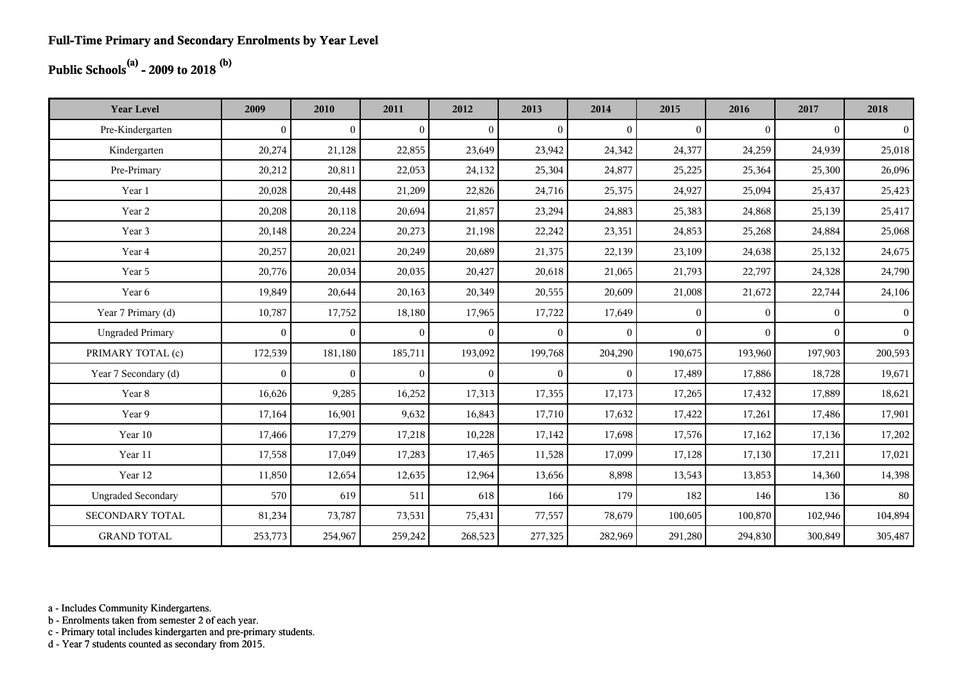## **Public Schools(a) - 2009 to 2018 (b)**

| <b>Year Level</b>         | 2009         | 2010             | 2011           | 2012         | 2013           | 2014           | 2015         | 2016         | 2017         | 2018           |
|---------------------------|--------------|------------------|----------------|--------------|----------------|----------------|--------------|--------------|--------------|----------------|
| Pre-Kindergarten          | $\theta$     | $\boldsymbol{0}$ | $\mathbf{0}$   | $\mathbf{0}$ | $\overline{0}$ | $\mathbf{0}$   | $\mathbf{0}$ | $\mathbf{0}$ | $\mathbf{0}$ | $\vert$        |
| Kindergarten              | 20,274       | 21,128           | 22,855         | 23,649       | 23,942         | 24,342         | 24,377       | 24,259       | 24,939       | 25,018         |
| Pre-Primary               | 20,212       | 20,811           | 22,053         | 24,132       | 25,304         | 24,877         | 25,225       | 25,364       | 25,300       | 26,096         |
| Year 1                    | 20,028       | 20,448           | 21,209         | 22,826       | 24,716         | 25,375         | 24,927       | 25,094       | 25,437       | 25,423         |
| Year 2                    | 20,208       | 20,118           | 20,694         | 21,857       | 23,294         | 24,883         | 25,383       | 24,868       | 25,139       | 25,417         |
| Year 3                    | 20,148       | 20,224           | 20,273         | 21,198       | 22,242         | 23,351         | 24,853       | 25,268       | 24,884       | 25,068         |
| Year 4                    | 20,257       | 20,021           | 20,249         | 20,689       | 21,375         | 22,139         | 23,109       | 24,638       | 25,132       | 24,675         |
| Year 5                    | 20,776       | 20,034           | 20,035         | 20,427       | 20,618         | 21,065         | 21,793       | 22,797       | 24,328       | 24,790         |
| Year 6                    | 19,849       | 20,644           | 20,163         | 20,349       | 20,555         | 20,609         | 21,008       | 21,672       | 22,744       | 24,106         |
| Year 7 Primary (d)        | 10,787       | 17,752           | 18,180         | 17,965       | 17,722         | 17,649         | $\theta$     | $\theta$     | $\theta$     | $\vert$        |
| <b>Ungraded Primary</b>   | $\mathbf{0}$ | $\overline{0}$   | $\mathbf{0}$   | $\mathbf{0}$ | $\theta$       | $\mathbf{0}$   | $\mathbf{0}$ | $\Omega$     | $\theta$     | 0 <sup>1</sup> |
| PRIMARY TOTAL (c)         | 172,539      | 181,180          | 185,711        | 193,092      | 199,768        | 204,290        | 190,675      | 193,960      | 197,903      | 200,593        |
| Year 7 Secondary (d)      | $\Omega$     | $\overline{0}$   | $\overline{0}$ | $\mathbf{0}$ | $\theta$       | $\overline{0}$ | 17,489       | 17,886       | 18,728       | 19,671         |
| Year 8                    | 16,626       | 9,285            | 16,252         | 17,313       | 17,355         | 17,173         | 17,265       | 17,432       | 17,889       | 18,621         |
| Year 9                    | 17,164       | 16,901           | 9,632          | 16,843       | 17,710         | 17,632         | 17,422       | 17,261       | 17,486       | 17,901         |
| Year 10                   | 17,466       | 17,279           | 17,218         | 10,228       | 17,142         | 17,698         | 17,576       | 17,162       | 17,136       | 17,202         |
| Year 11                   | 17,558       | 17,049           | 17,283         | 17,465       | 11,528         | 17,099         | 17,128       | 17,130       | 17,211       | 17,021         |
| Year 12                   | 11,850       | 12,654           | 12,635         | 12,964       | 13,656         | 8,898          | 13,543       | 13,853       | 14,360       | 14,398         |
| <b>Ungraded Secondary</b> | 570          | 619              | 511            | 618          | 166            | 179            | 182          | 146          | 136          | 80             |
| <b>SECONDARY TOTAL</b>    | 81,234       | 73,787           | 73,531         | 75,431       | 77,557         | 78,679         | 100,605      | 100,870      | 102,946      | 104,894        |
| <b>GRAND TOTAL</b>        | 253,773      | 254,967          | 259,242        | 268,523      | 277,325        | 282,969        | 291,280      | 294,830      | 300,849      | 305,487        |

a - Includes Community Kindergartens.

b - Enrolments taken from semester 2 of each year.

c - Primary total includes kindergarten and pre-primary students.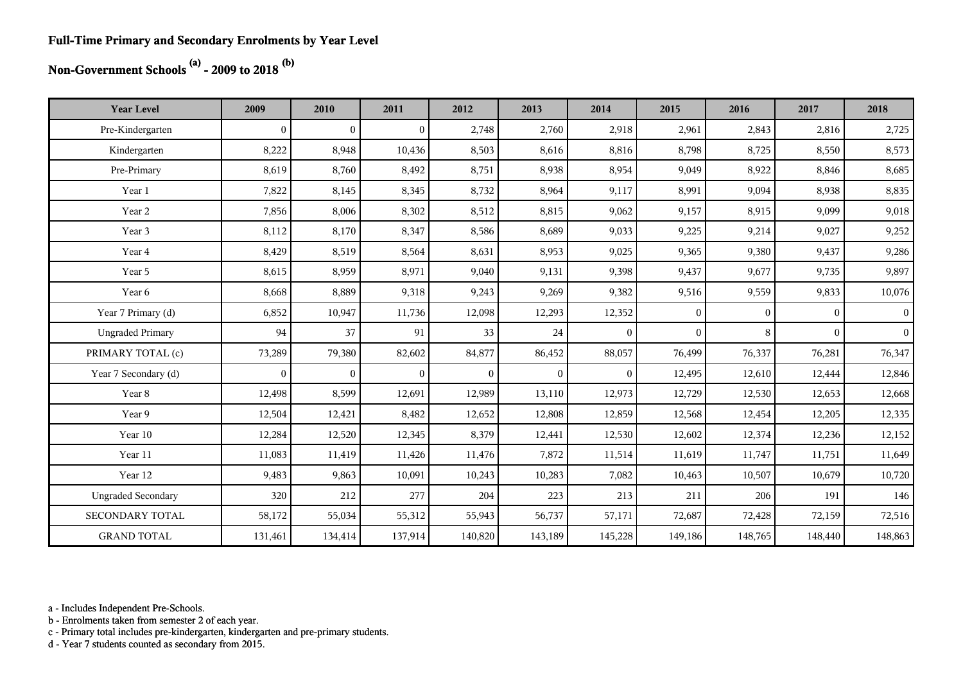#### **Full-Time Primary and Secondary Enrolments by Year Level**

# **Non-Government Schools (a) - 2009 to 2018 (b)**

| <b>Year Level</b>         | 2009             | 2010           | 2011           | 2012           | 2013         | 2014           | 2015         | 2016         | 2017           | 2018           |
|---------------------------|------------------|----------------|----------------|----------------|--------------|----------------|--------------|--------------|----------------|----------------|
| Pre-Kindergarten          | $\boldsymbol{0}$ | $\overline{0}$ | $\overline{0}$ | 2,748          | 2,760        | 2,918          | 2,961        | 2,843        | 2,816          | 2,725          |
| Kindergarten              | 8,222            | 8,948          | 10,436         | 8,503          | 8,616        | 8,816          | 8,798        | 8,725        | 8,550          | 8,573          |
| Pre-Primary               | 8,619            | 8,760          | 8,492          | 8,751          | 8,938        | 8,954          | 9,049        | 8,922        | 8,846          | 8,685          |
| Year 1                    | 7,822            | 8,145          | 8,345          | 8,732          | 8,964        | 9,117          | 8,991        | 9,094        | 8,938          | 8,835          |
| Year 2                    | 7,856            | 8,006          | 8,302          | 8,512          | 8,815        | 9,062          | 9,157        | 8,915        | 9,099          | 9,018          |
| Year 3                    | 8,112            | 8,170          | 8,347          | 8,586          | 8,689        | 9,033          | 9,225        | 9,214        | 9,027          | 9,252          |
| Year 4                    | 8,429            | 8,519          | 8,564          | 8,631          | 8,953        | 9,025          | 9,365        | 9,380        | 9,437          | 9,286          |
| Year 5                    | 8,615            | 8,959          | 8,971          | 9,040          | 9,131        | 9,398          | 9,437        | 9,677        | 9,735          | 9,897          |
| Year 6                    | 8,668            | 8,889          | 9,318          | 9,243          | 9,269        | 9,382          | 9,516        | 9,559        | 9,833          | 10,076         |
| Year 7 Primary (d)        | 6,852            | 10,947         | 11,736         | 12,098         | 12,293       | 12,352         | $\mathbf{0}$ | $\mathbf{0}$ | $\overline{0}$ | $\overline{0}$ |
| <b>Ungraded Primary</b>   | 94               | 37             | 91             | 33             | 24           | $\overline{0}$ | $\theta$     | 8            | $\overline{0}$ | 0 <sup>1</sup> |
| PRIMARY TOTAL (c)         | 73,289           | 79,380         | 82,602         | 84,877         | 86,452       | 88,057         | 76,499       | 76,337       | 76,281         | 76,347         |
| Year 7 Secondary (d)      | $\mathbf{0}$     | $\overline{0}$ | $\overline{0}$ | $\overline{0}$ | $\mathbf{0}$ | $\theta$       | 12,495       | 12,610       | 12,444         | 12,846         |
| Year 8                    | 12,498           | 8,599          | 12,691         | 12,989         | 13,110       | 12,973         | 12,729       | 12,530       | 12,653         | 12,668         |
| Year 9                    | 12,504           | 12,421         | 8,482          | 12,652         | 12,808       | 12,859         | 12,568       | 12,454       | 12,205         | 12,335         |
| Year 10                   | 12,284           | 12,520         | 12,345         | 8,379          | 12,441       | 12,530         | 12,602       | 12,374       | 12,236         | 12,152         |
| Year 11                   | 11,083           | 11,419         | 11,426         | 11,476         | 7,872        | 11,514         | 11,619       | 11,747       | 11,751         | 11,649         |
| Year 12                   | 9,483            | 9,863          | 10,091         | 10,243         | 10,283       | 7,082          | 10,463       | 10,507       | 10,679         | 10,720         |
| <b>Ungraded Secondary</b> | 320              | 212            | 277            | 204            | 223          | 213            | 211          | 206          | 191            | 146            |
| <b>SECONDARY TOTAL</b>    | 58,172           | 55,034         | 55,312         | 55,943         | 56,737       | 57,171         | 72,687       | 72,428       | 72,159         | 72,516         |
| <b>GRAND TOTAL</b>        | 131,461          | 134,414        | 137,914        | 140,820        | 143,189      | 145,228        | 149,186      | 148,765      | 148,440        | 148,863        |

a - Includes Independent Pre-Schools.

b - Enrolments taken from semester 2 of each year.

c - Primary total includes pre-kindergarten, kindergarten and pre-primary students.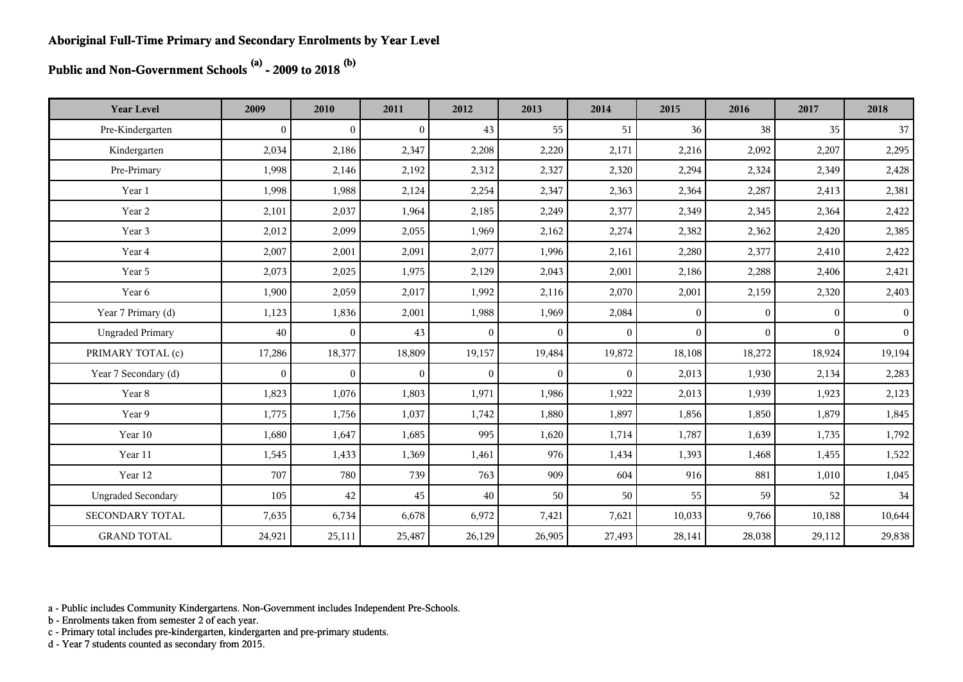**Public and Non-Government Schools (a) - 2009 to 2018 (b)**

| <b>Year Level</b>         | 2009           | 2010           | 2011           | 2012         | 2013           | 2014           | 2015         | 2016         | 2017         | 2018            |
|---------------------------|----------------|----------------|----------------|--------------|----------------|----------------|--------------|--------------|--------------|-----------------|
| Pre-Kindergarten          | $\overline{0}$ | $\overline{0}$ | $\overline{0}$ | 43           | 55             | 51             | 36           | 38           | 35           | 37              |
| Kindergarten              | 2,034          | 2,186          | 2,347          | 2,208        | 2,220          | 2,171          | 2,216        | 2,092        | 2,207        | 2,295           |
| Pre-Primary               | 1,998          | 2,146          | 2,192          | 2,312        | 2,327          | 2,320          | 2,294        | 2,324        | 2,349        | 2,428           |
| Year 1                    | 1,998          | 1,988          | 2,124          | 2,254        | 2,347          | 2,363          | 2,364        | 2,287        | 2,413        | 2,381           |
| Year 2                    | 2,101          | 2,037          | 1,964          | 2,185        | 2,249          | 2,377          | 2,349        | 2,345        | 2,364        | 2,422           |
| Year 3                    | 2,012          | 2,099          | 2,055          | 1,969        | 2,162          | 2,274          | 2,382        | 2,362        | 2,420        | 2,385           |
| Year 4                    | 2,007          | 2,001          | 2,091          | 2,077        | 1,996          | 2,161          | 2,280        | 2,377        | 2,410        | 2,422           |
| Year 5                    | 2,073          | 2,025          | 1,975          | 2,129        | 2,043          | 2,001          | 2,186        | 2,288        | 2,406        | 2,421           |
| Year 6                    | 1,900          | 2,059          | 2,017          | 1,992        | 2,116          | 2,070          | 2,001        | 2,159        | 2,320        | 2,403           |
| Year 7 Primary (d)        | 1,123          | 1,836          | 2,001          | 1,988        | 1,969          | 2,084          | $\mathbf{0}$ | $\mathbf{0}$ | $\mathbf{0}$ | $\vert 0 \vert$ |
| <b>Ungraded Primary</b>   | 40             | $\overline{0}$ | 43             | $\Omega$     | $\theta$       | $\mathbf{0}$   | $\theta$     | $\Omega$     | $\Omega$     | $\vert$         |
| PRIMARY TOTAL (c)         | 17,286         | 18,377         | 18,809         | 19,157       | 19,484         | 19,872         | 18,108       | 18,272       | 18,924       | 19,194          |
| Year 7 Secondary (d)      | $\overline{0}$ | $\overline{0}$ | $\overline{0}$ | $\mathbf{0}$ | $\overline{0}$ | $\overline{0}$ | 2,013        | 1,930        | 2,134        | 2,283           |
| Year 8                    | 1,823          | 1,076          | 1,803          | 1,971        | 1,986          | 1,922          | 2,013        | 1,939        | 1,923        | 2,123           |
| Year 9                    | 1,775          | 1,756          | 1,037          | 1,742        | 1,880          | 1,897          | 1,856        | 1,850        | 1,879        | 1,845           |
| Year 10                   | 1,680          | 1,647          | 1,685          | 995          | 1,620          | 1,714          | 1,787        | 1,639        | 1,735        | 1,792           |
| Year 11                   | 1,545          | 1,433          | 1,369          | 1,461        | 976            | 1,434          | 1,393        | 1,468        | 1,455        | 1,522           |
| Year 12                   | 707            | 780            | 739            | 763          | 909            | 604            | 916          | 881          | 1,010        | 1,045           |
| <b>Ungraded Secondary</b> | 105            | 42             | 45             | 40           | 50             | 50             | 55           | 59           | 52           | 34              |
| SECONDARY TOTAL           | 7,635          | 6,734          | 6,678          | 6,972        | 7,421          | 7,621          | 10,033       | 9,766        | 10,188       | 10,644          |
| <b>GRAND TOTAL</b>        | 24,921         | 25,111         | 25,487         | 26,129       | 26,905         | 27,493         | 28,141       | 28,038       | 29,112       | 29,838          |

a - Public includes Community Kindergartens. Non-Government includes Independent Pre-Schools.

b - Enrolments taken from semester 2 of each year.

c - Primary total includes pre-kindergarten, kindergarten and pre-primary students.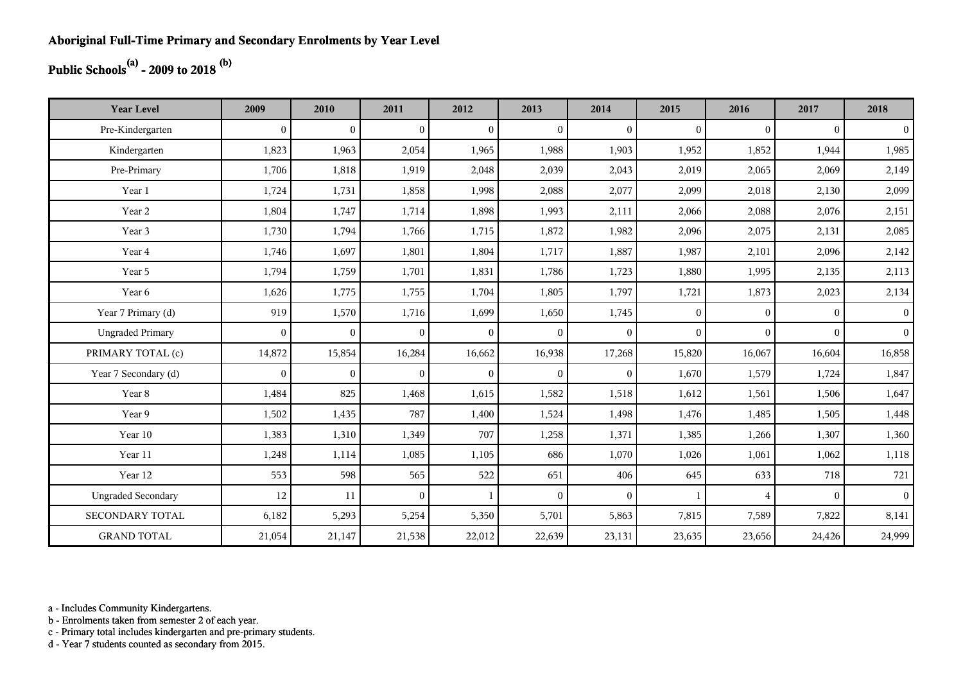## **Public Schools(a) - 2009 to 2018 (b)**

| <b>Year Level</b>         | 2009         | 2010           | 2011           | 2012         | 2013           | 2014         | 2015         | 2016           | 2017     | 2018           |
|---------------------------|--------------|----------------|----------------|--------------|----------------|--------------|--------------|----------------|----------|----------------|
| Pre-Kindergarten          | $\theta$     | $\overline{0}$ | $\overline{0}$ | $\Omega$     | $\mathbf{0}$   | $\theta$     | $\mathbf{0}$ | $\Omega$       | $\theta$ | $\overline{0}$ |
| Kindergarten              | 1,823        | 1,963          | 2,054          | 1,965        | 1,988          | 1,903        | 1,952        | 1,852          | 1,944    | 1,985          |
| Pre-Primary               | 1,706        | 1,818          | 1,919          | 2,048        | 2,039          | 2,043        | 2,019        | 2,065          | 2,069    | 2,149          |
| Year 1                    | 1,724        | 1,731          | 1,858          | 1,998        | 2,088          | 2,077        | 2,099        | 2,018          | 2,130    | 2,099          |
| Year 2                    | 1,804        | 1,747          | 1,714          | 1,898        | 1,993          | 2,111        | 2,066        | 2,088          | 2,076    | 2,151          |
| Year 3                    | 1,730        | 1,794          | 1,766          | 1,715        | 1,872          | 1,982        | 2,096        | 2,075          | 2,131    | 2,085          |
| Year 4                    | 1,746        | 1,697          | 1,801          | 1,804        | 1,717          | 1,887        | 1,987        | 2,101          | 2,096    | 2,142          |
| Year 5                    | 1,794        | 1,759          | 1,701          | 1,831        | 1,786          | 1,723        | 1,880        | 1,995          | 2,135    | 2,113          |
| Year 6                    | 1,626        | 1,775          | 1,755          | 1,704        | 1,805          | 1,797        | 1,721        | 1,873          | 2,023    | 2,134          |
| Year 7 Primary (d)        | 919          | 1,570          | 1,716          | 1,699        | 1,650          | 1,745        | $\mathbf{0}$ | $\Omega$       | $\Omega$ | 0 <sup>1</sup> |
| <b>Ungraded Primary</b>   | $\mathbf{0}$ | $\overline{0}$ | $\mathbf{0}$   | $\mathbf{0}$ | $\overline{0}$ | $\theta$     | $\mathbf{0}$ | $\Omega$       | $\Omega$ | 0 <sup>1</sup> |
| PRIMARY TOTAL (c)         | 14,872       | 15,854         | 16,284         | 16,662       | 16,938         | 17,268       | 15,820       | 16,067         | 16,604   | 16,858         |
| Year 7 Secondary (d)      | $\mathbf{0}$ | $\mathbf{0}$   | $\overline{0}$ | $\mathbf{0}$ | $\overline{0}$ | $\mathbf{0}$ | 1,670        | 1,579          | 1,724    | 1,847          |
| Year 8                    | 1,484        | 825            | 1,468          | 1,615        | 1,582          | 1,518        | 1,612        | 1,561          | 1,506    | 1,647          |
| Year 9                    | 1,502        | 1,435          | 787            | 1,400        | 1,524          | 1,498        | 1,476        | 1,485          | 1,505    | 1,448          |
| Year 10                   | 1,383        | 1,310          | 1,349          | 707          | 1,258          | 1,371        | 1,385        | 1,266          | 1,307    | 1,360          |
| Year 11                   | 1,248        | 1,114          | 1,085          | 1,105        | 686            | 1,070        | 1,026        | 1,061          | 1,062    | 1,118          |
| Year 12                   | 553          | 598            | 565            | 522          | 651            | 406          | 645          | 633            | 718      | 721            |
| <b>Ungraded Secondary</b> | 12           | 11             | $\overline{0}$ | $\mathbf{1}$ | $\mathbf{0}$   | $\theta$     | -1           | $\overline{4}$ | $\theta$ | 0 <sup>1</sup> |
| <b>SECONDARY TOTAL</b>    | 6,182        | 5,293          | 5,254          | 5,350        | 5,701          | 5,863        | 7,815        | 7,589          | 7,822    | 8,141          |
| <b>GRAND TOTAL</b>        | 21,054       | 21,147         | 21,538         | 22,012       | 22,639         | 23,131       | 23,635       | 23,656         | 24,426   | 24,999         |

a - Includes Community Kindergartens.

b - Enrolments taken from semester 2 of each year.

c - Primary total includes kindergarten and pre-primary students.